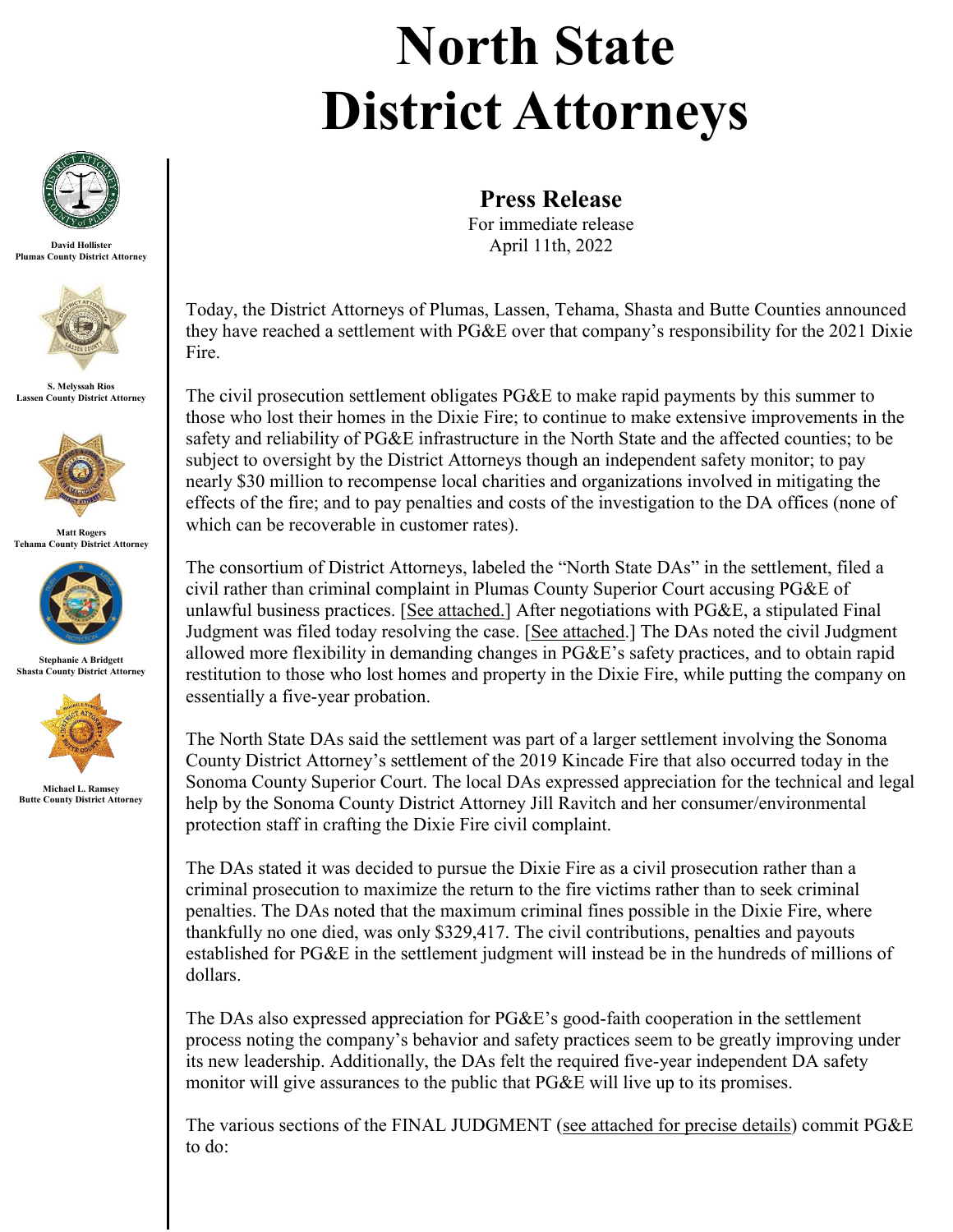## **North State District Attorneys**



**David Hollister Plumas County District Attorney**



**S. Melyssah Rios Lassen County District Attorney**



**Matt Rogers Tehama County District Attorney**



**Stephanie A Bridgett Shasta County District Attorney**



**Michael L. Ramsey Butte County District Attorney**

**Press Release**

For immediate release April 11th, 2022

Today, the District Attorneys of Plumas, Lassen, Tehama, Shasta and Butte Counties announced they have reached a settlement with PG&E over that company's responsibility for the 2021 Dixie Fire.

The civil prosecution settlement obligates PG&E to make rapid payments by this summer to those who lost their homes in the Dixie Fire; to continue to make extensive improvements in the safety and reliability of PG&E infrastructure in the North State and the affected counties; to be subject to oversight by the District Attorneys though an independent safety monitor; to pay nearly \$30 million to recompense local charities and organizations involved in mitigating the effects of the fire; and to pay penalties and costs of the investigation to the DA offices (none of which can be recoverable in customer rates).

The consortium of District Attorneys, labeled the "North State DAs" in the settlement, filed a civil rather than criminal complaint in Plumas County Superior Court accusing PG&E of unlawful business practices. [See attached.] After negotiations with PG&E, a stipulated Final Judgment was filed today resolving the case. [See attached.] The DAs noted the civil Judgment allowed more flexibility in demanding changes in PG&E's safety practices, and to obtain rapid restitution to those who lost homes and property in the Dixie Fire, while putting the company on essentially a five-year probation.

The North State DAs said the settlement was part of a larger settlement involving the Sonoma County District Attorney's settlement of the 2019 Kincade Fire that also occurred today in the Sonoma County Superior Court. The local DAs expressed appreciation for the technical and legal help by the Sonoma County District Attorney Jill Ravitch and her consumer/environmental protection staff in crafting the Dixie Fire civil complaint.

The DAs stated it was decided to pursue the Dixie Fire as a civil prosecution rather than a criminal prosecution to maximize the return to the fire victims rather than to seek criminal penalties. The DAs noted that the maximum criminal fines possible in the Dixie Fire, where thankfully no one died, was only \$329,417. The civil contributions, penalties and payouts established for PG&E in the settlement judgment will instead be in the hundreds of millions of dollars.

The DAs also expressed appreciation for PG&E's good-faith cooperation in the settlement process noting the company's behavior and safety practices seem to be greatly improving under its new leadership. Additionally, the DAs felt the required five-year independent DA safety monitor will give assurances to the public that PG&E will live up to its promises.

The various sections of the FINAL JUDGMENT (see attached for precise details) commit PG&E to do: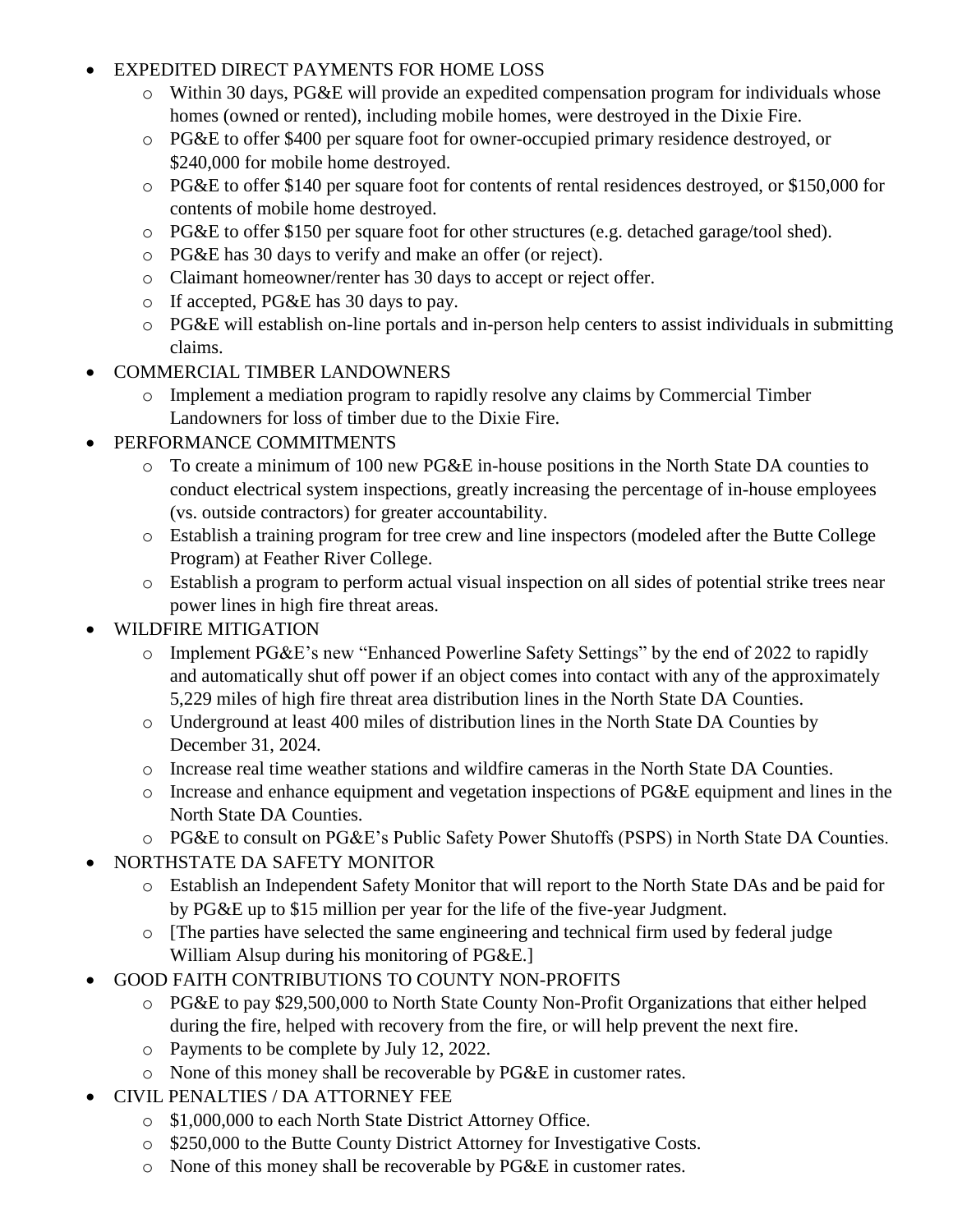- EXPEDITED DIRECT PAYMENTS FOR HOME LOSS
	- o Within 30 days, PG&E will provide an expedited compensation program for individuals whose homes (owned or rented), including mobile homes, were destroyed in the Dixie Fire.
	- o PG&E to offer \$400 per square foot for owner-occupied primary residence destroyed, or \$240,000 for mobile home destroyed.
	- o PG&E to offer \$140 per square foot for contents of rental residences destroyed, or \$150,000 for contents of mobile home destroyed.
	- o PG&E to offer \$150 per square foot for other structures (e.g. detached garage/tool shed).
	- o PG&E has 30 days to verify and make an offer (or reject).
	- o Claimant homeowner/renter has 30 days to accept or reject offer.
	- o If accepted, PG&E has 30 days to pay.
	- o PG&E will establish on-line portals and in-person help centers to assist individuals in submitting claims.
- COMMERCIAL TIMBER LANDOWNERS
	- o Implement a mediation program to rapidly resolve any claims by Commercial Timber Landowners for loss of timber due to the Dixie Fire.
- PERFORMANCE COMMITMENTS
	- o To create a minimum of 100 new PG&E in-house positions in the North State DA counties to conduct electrical system inspections, greatly increasing the percentage of in-house employees (vs. outside contractors) for greater accountability.
	- o Establish a training program for tree crew and line inspectors (modeled after the Butte College Program) at Feather River College.
	- o Establish a program to perform actual visual inspection on all sides of potential strike trees near power lines in high fire threat areas.
- WILDFIRE MITIGATION
	- o Implement PG&E's new "Enhanced Powerline Safety Settings" by the end of 2022 to rapidly and automatically shut off power if an object comes into contact with any of the approximately 5,229 miles of high fire threat area distribution lines in the North State DA Counties.
	- o Underground at least 400 miles of distribution lines in the North State DA Counties by December 31, 2024.
	- o Increase real time weather stations and wildfire cameras in the North State DA Counties.
	- o Increase and enhance equipment and vegetation inspections of PG&E equipment and lines in the North State DA Counties.
	- o PG&E to consult on PG&E's Public Safety Power Shutoffs (PSPS) in North State DA Counties.
- NORTHSTATE DA SAFETY MONITOR
	- o Establish an Independent Safety Monitor that will report to the North State DAs and be paid for by PG&E up to \$15 million per year for the life of the five-year Judgment.
	- o [The parties have selected the same engineering and technical firm used by federal judge William Alsup during his monitoring of PG&E.]
- GOOD FAITH CONTRIBUTIONS TO COUNTY NON-PROFITS
	- o PG&E to pay \$29,500,000 to North State County Non-Profit Organizations that either helped during the fire, helped with recovery from the fire, or will help prevent the next fire.
	- o Payments to be complete by July 12, 2022.
	- o None of this money shall be recoverable by PG&E in customer rates.
- CIVIL PENALTIES / DA ATTORNEY FEE
	- o \$1,000,000 to each North State District Attorney Office.
	- o \$250,000 to the Butte County District Attorney for Investigative Costs.
	- o None of this money shall be recoverable by PG&E in customer rates.